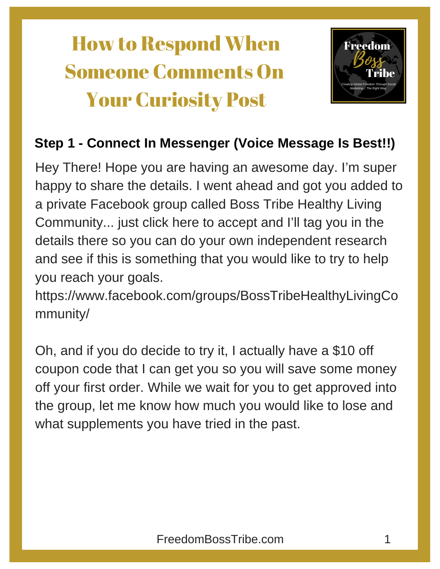## How to Respond When Someone Comments On Your Curiosity Post



#### **Step 1 - Connect In Messenger (Voice Message Is Best!!)**

Hey There! Hope you are having an awesome day. I'm super happy to share the details. I went ahead and got you added to a private Facebook group called Boss Tribe Healthy Living Community... just click here to accept and I'll tag you in the details there so you can do your own independent research and see if this is something that you would like to try to help you reach your goals.

https://www.facebook.com/groups/BossTribeHealthyLivingCo mmunity/

Oh, and if you do decide to try it, I actually have a \$10 off coupon code that I can get you so you will save some money off your first order. While we wait for you to get approved into the group, let me know how much you would like to lose and what supplements you have tried in the past.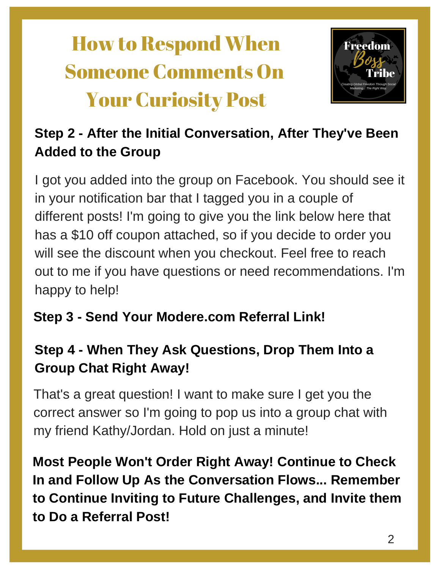# How to Respond When Someone Comments On Your Curiosity Post



### **Step 2 - After the Initial Conversation, After They've Been Added to the Group**

I got you added into the group on Facebook. You should see it in your notification bar that I tagged you in a couple of different posts! I'm going to give you the link below here that has a \$10 off coupon attached, so if you decide to order you will see the discount when you checkout. Feel free to reach out to me if you have questions or need recommendations. I'm happy to help!

### **Step 3 - Send Your Modere.com Referral Link!**

### **Step 4 - When They Ask Questions, Drop Them Into a Group Chat Right Away!**

That's a great question! I want to make sure I get you the correct answer so I'm going to pop us into a group chat with my friend Kathy/Jordan. Hold on just a minute!

**Most People Won't Order Right Away! Continue to Check In and Follow Up As the Conversation Flows... Remember to Continue Inviting to Future Challenges, and Invite them to Do a Referral Post!**